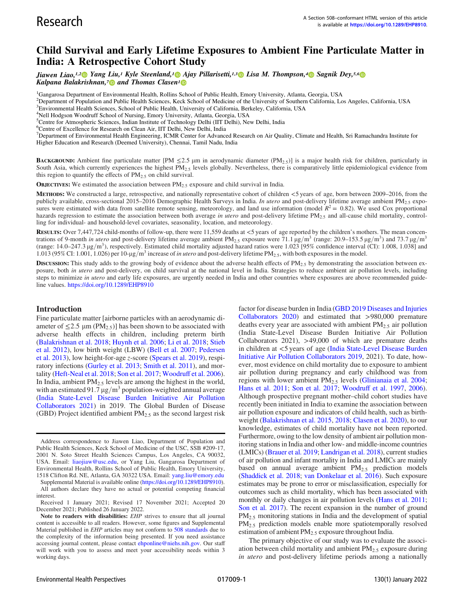# Child Survival and Early Lifetime Exposures to Ambient Fine Particulate Matter in India: A Retrospective Cohort Study

Jiawen Liao,<sup>1,2</sup> Yang Liu,<sup>1</sup> Kyle Steenland,<sup>1</sup> Ajay Pillarisetti,<sup>1,3</sup> Lisa M. Thompson,<sup>4</sup> Sagnik Dey,<sup>5,6</sup> Kalpana Balakrishnan,<sup>7</sup> and Thomas Clasen<sup>1</sup>

<sup>1</sup>Gangarosa Department of Environmental Health, Rollins School of Public Health, Emory University, Atlanta, Georgia, USA

2 Department of Population and Public Health Sciences, Keck School of Medicine of the University of Southern California, Los Angeles, California, USA

- 3 Environmental Health Sciences, School of Public Health, University of California, Berkeley, California, USA
- 4 Nell Hodgson Woodruff School of Nursing, Emory University, Atlanta, Georgia, USA

<sup>5</sup>Centre for Atmospheric Sciences, Indian Institute of Technology Delhi (IIT Delhi), New Delhi, India

6 Centre of Excellence for Research on Clean Air, IIT Delhi, New Delhi, India

<sup>7</sup>Department of Environmental Health Engineering, ICMR Center for Advanced Research on Air Quality, Climate and Health, Sri Ramachandra Institute for Higher Education and Research (Deemed University), Chennai, Tamil Nadu, India

**BACKGROUND:** Ambient fine particulate matter [PM  $\leq$ 2.5 µm in aerodynamic diameter (PM<sub>2.5</sub>)] is a major health risk for children, particularly in South Asia, which currently experiences the highest  $PM_{2.5}$  levels globally. Nevertheless, there is comparatively little epidemiological evidence from this region to quantify the effects of  $PM<sub>2.5</sub>$  on child survival.

**OBJECTIVES:** We estimated the association between  $PM_{2.5}$  exposure and child survival in India.

METHODS: We constructed a large, retrospective, and nationally representative cohort of children <5 years of age, born between 2009–2016, from the publicly available, cross-sectional 2015–2016 Demographic Health Surveys in India. In utero and post-delivery lifetime average ambient PM<sub>2.5</sub> exposures were estimated with data from satellite remote sensing, meteorology, and land use information (model  $R^2 = 0.82$ ). We used Cox proportional hazards regression to estimate the association between both average in utero and post-delivery lifetime PM<sub>2.5</sub> and all-cause child mortality, controlling for individual- and household-level covariates, seasonality, location, and meteorology.

RESULTS: Over 7,447,724 child-months of follow-up, there were 11,559 deaths at <5 years of age reported by the children's mothers. The mean concentrations of 9-month in utero and post-delivery lifetime average ambient PM<sub>2.5</sub> exposure were 71.1 µg/m<sup>3</sup> (range: 20.9–153.5 µg/m<sup>3</sup>) and 73.7 µg/m<sup>3</sup> (range:  $14.0-247.3 \mu g/m^3$ ), respectively. Estimated child mortality adjusted hazard ratios were 1.023 [95% confidence interval (CI): 1.008, 1.038] and 1.013 (95% CI: 1.001, 1.026) per 10- $\mu$ g/m<sup>3</sup> increase of *in utero* and post-delivery lifetime PM<sub>2.5</sub>, with both exposures in the model.

**DISCUSSION:** This study adds to the growing body of evidence about the adverse health effects of  $PM_{2.5}$  by demonstrating the association between exposure, both in utero and post-delivery, on child survival at the national level in India. Strategies to reduce ambient air pollution levels, including steps to minimize in utero and early life exposures, are urgently needed in India and other countries where exposures are above recommended guideline values. <https://doi.org/10.1289/EHP8910>

#### Introduction

Fine particulate matter [airborne particles with an aerodynamic diameter of  $\leq$ 2.5 µm (PM<sub>2.5</sub>)] has been shown to be associated with adverse health effects in children, including preterm birth [\(Balakrishnan et al. 2018](#page-8-0); [Huynh et al. 2006;](#page-8-1) [Li et al. 2018](#page-8-2); [Stieb](#page-9-0) [et al. 2012\)](#page-9-0), low birth weight (LBW) ([Bell et al. 2007](#page-8-3); [Pedersen](#page-8-4) [et al. 2013\)](#page-8-4), low height-for-age z-score ([Spears et al. 2019\)](#page-8-5), respiratory infections ([Gurley et al. 2013](#page-8-6); [Smith et al. 2011\)](#page-8-7), and mortality [\(Heft-Neal et al. 2018;](#page-8-8) [Son et al. 2017;](#page-8-9) Woodruff [et al. 2006](#page-9-1)). In India, ambient PM<sub>2.5</sub> levels are among the highest in the world, with an estimated 91.7  $\mu$ g/m<sup>3</sup> population-weighted annual average [\(India State-Level Disease Burden Initiative Air Pollution](#page-8-10) [Collaborators 2021\)](#page-8-10) in 2019. The Global Burden of Disease (GBD) Project identified ambient  $PM<sub>2.5</sub>$  as the second largest risk

Supplemental Material is available online (<https://doi.org/10.1289/EHP8910>). All authors declare they have no actual or potential competing financial interest.

Received 1 January 2021; Revised 17 November 2021; Accepted 20 December 2021; Published 26 January 2022.

factor for disease burden in India [\(GBD 2019 Diseases and Injuries](#page-8-11) [Collaborators 2020](#page-8-11)) and estimated that >980,000 premature deaths every year are associated with ambient  $PM_{2.5}$  air pollution (India State-Level Disease Burden Initiative Air Pollution Collaborators 2021), >49,000 of which are premature deaths in children at <5 years of age [\(India State-Level Disease Burden](#page-8-12) [Initiative Air Pollution Collaborators 2019](#page-8-12), 2021). To date, however, most evidence on child mortality due to exposure to ambient air pollution during pregnancy and early childhood was from regions with lower ambient PM<sub>2.5</sub> levels ([Glinianaia et al. 2004](#page-8-13); [Hans et al. 2011;](#page-8-14) [Son et al. 2017;](#page-8-9) Woodruff [et al. 1997,](#page-9-2) [2006](#page-9-1)). Although prospective pregnant mother–child cohort studies have recently been initiated in India to examine the association between air pollution exposure and indicators of child health, such as birthweight [\(Balakrishnan et al. 2015,](#page-8-15) [2018;](#page-8-0) [Clasen et al. 2020\)](#page-8-16), to our knowledge, estimates of child mortality have not been reported. Furthermore, owing to the low density of ambient air pollution monitoring stations in India and other low- and middle-income countries (LMICs) [\(Brauer et al. 2019](#page-8-17); [Landrigan et al. 2018](#page-8-18)), current studies of air pollution and infant mortality in India and LMICs are mainly based on annual average ambient PM<sub>2.5</sub> prediction models [\(Shaddick et al. 2018](#page-8-19); [van Donkelaar et al. 2016](#page-9-3)). Such exposure estimates may be prone to error or misclassification, especially for outcomes such as child mortality, which has been associated with monthly or daily changes in air pollution levels ([Hans et al. 2011](#page-8-14); [Son et al. 2017](#page-8-9)). The recent expansion in the number of ground PM<sub>2.5</sub> monitoring stations in India and the development of spatial PM<sub>2.5</sub> prediction models enable more spatiotemporally resolved estimation of ambient PM<sub>2.5</sub> exposure throughout India.

The primary objective of our study was to evaluate the association between child mortality and ambient  $PM<sub>2.5</sub>$  exposure during in utero and post-delivery lifetime periods among a nationally

Address correspondence to Jiawen Liao, Department of Population and Public Health Sciences, Keck School of Medicine of the USC, SSB #209-17, 2001 N. Soto Street Health Sciences Campus, Los Angeles, CA 90032, USA. Email: [liaojiaw@usc.edu](mailto:liaojiaw@usc.edu), or Yang Liu, Gangarosa Department of Environmental Health, Rollins School of Public Health, Emory University, 1518 Clifton Rd. NE, Atlanta, GA 30322 USA. Email: [yang.liu@emory.edu](mailto:yang.liu@emory.edu)

Note to readers with disabilities: EHP strives to ensure that all journal content is accessible to all readers. However, some figures and Supplemental Material published in EHP articles may not conform to [508 standards](http://ehp.niehs.nih.gov/accessibility/) due to the complexity of the information being presented. If you need assistance accessing journal content, please contact [ehponline@niehs.nih.gov.](mailto:ehponline@niehs.nih.gov) Our staff will work with you to assess and meet your accessibility needs within 3 working days.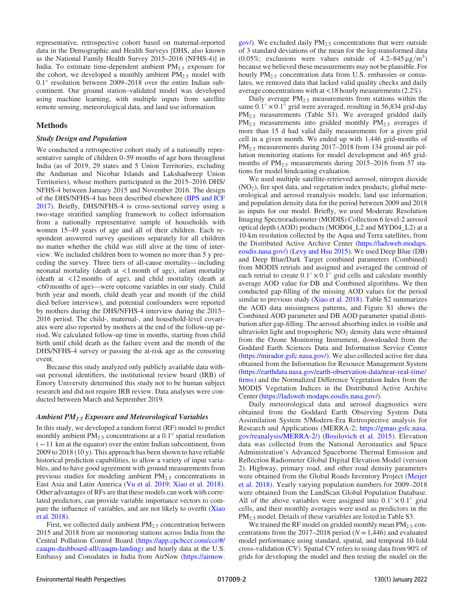representative, retrospective cohort based on maternal-reported data in the Demographic and Health Surveys [DHS, also known as the National Family Health Survey 2015–2016 (NFHS-4)] in India. To estimate time-dependent ambient  $PM_{2.5}$  exposure for the cohort, we developed a monthly ambient  $PM_{2.5}$  model with 0.1° resolution between 2009–2018 over the entire Indian subcontinent. Our ground station–validated model was developed using machine learning, with multiple inputs from satellite remote sensing, meteorological data, and land use information.

## Methods

## Study Design and Population

We conducted a retrospective cohort study of a nationally representative sample of children 0–59 months of age born throughout India (as of 2019, 29 states and 5 Union Territories, excluding the Andaman and Nicobar Islands and Lakshadweep Union Territories), whose mothers participated in the 2015–2016 DHS/ NFHS-4 between January 2015 and November 2016. The design of the DHS/NFHS-4 has been described elsewhere ([IIPS and ICF](#page-8-20) [2017](#page-8-20)). Briefly, DHS/NFHS-4 is cross-sectional survey using a two-stage stratified sampling framework to collect information from a nationally representative sample of households with women 15–49 years of age and all of their children. Each respondent answered survey questions separately for all children no matter whether the child was still alive at the time of interview. We included children born to women no more than 5 y preceding the survey. Three tiers of all-cause mortality—including neonatal mortality (death at <1 month of age), infant mortality (death at <12 months of age), and child mortality (death at <60 months of age)—were outcome variables in our study. Child birth year and month, child death year and month (if the child died before interview), and potential confounders were reported by mothers during the DHS/NFHS-4 interview during the 2015– 2016 period. The child-, maternal-, and household-level covariates were also reported by mothers at the end of the follow-up period. We calculated follow-up time in months, starting from child birth until child death as the failure event and the month of the DHS/NFHS-4 survey or passing the at-risk age as the censoring event.

Because this study analyzed only publicly available data without personal identifiers, the institutional review board (IRB) of Emory University determined this study not to be human subject research and did not require IRB review. Data analyses were conducted between March and September 2019.

## Ambient  $PM_{2.5}$  Exposure and Meteorological Variables

In this study, we developed a random forest (RF) model to predict monthly ambient  $PM_{2.5}$  concentrations at a 0.1° spatial resolution  $\sim$  11 km at the equator) over the entire Indian subcontinent, from 2009 to 2018 (10 y). This approach has been shown to have reliable historical prediction capabilities, to allow a variety of input variables, and to have good agreement with ground measurements from previous studies for modeling ambient PM<sub>2.5</sub> concentrations in East Asia and Latin America ([Vu et al. 2019;](#page-9-4) [Xiao et al. 2018](#page-9-5)). Other advantages of RFs are that these models can work with correlated predictors, can provide variable importance vectors to compare the influence of variables, and are not likely to overfit ([Xiao](#page-9-5) [et al. 2018](#page-9-5)).

First, we collected daily ambient PM<sub>2.5</sub> concentration between 2015 and 2018 from air monitoring stations across India from the Central Pollution Control Board [\(https://app.cpcbccr.com/ccr/#/](https://app.cpcbccr.com/ccr/#/caaqm-dashboard-all/caaqm-landing) [caaqm-dashboard-all/caaqm-landing](https://app.cpcbccr.com/ccr/#/caaqm-dashboard-all/caaqm-landing)) and hourly data at the U.S. Embassy and Consulates in India from AirNow [\(https://airnow.](https://airnow.gov/) [gov/\)](https://airnow.gov/). We excluded daily  $PM<sub>2.5</sub>$  concentrations that were outside of 3 standard deviations of the mean for the log-transformed data (0.05%; exclusions were values outside of  $4.2-845 \mu g/m^3$ ) because we believed these measurements may not be plausible. For hourly PM<sub>2.5</sub> concentration data from U.S. embassies or consulates, we removed data that lacked valid quality checks and daily average concentrations with at <18 hourly measurements (2.2%).

Daily average  $PM_{2,5}$  measurements from stations within the same  $0.1^{\circ} \times 0.1^{\circ}$  grid were averaged, resulting in 56,834 grid-day PM<sub>2.5</sub> measurements (Table S1). We averaged gridded daily PM<sub>2.5</sub> measurements into gridded monthly PM<sub>2.5</sub> averages if more than 15 d had valid daily measurements for a given grid cell in a given month. We ended up with 1,446 grid-months of PM2:<sup>5</sup> measurements during 2017–2018 from 134 ground air pollution monitoring stations for model development and 465 gridmonths of  $PM_{2.5}$  measurements during 2015–2016 from 57 stations for model hindcasting evaluation.

We used multiple satellite-retrieved aerosol, nitrogen dioxide  $(NO<sub>2</sub>)$ , fire spot data, and vegetation index products; global meteorological and aerosol reanalysis models; land use information; and population density data for the period between 2009 and 2018 as inputs for our model. Briefly, we used Moderate Resolution Imaging Spectroradiometer (MODIS) Collection 6 level-2 aerosol optical depth (AOD) products (MOD04\_L2 and MYD04\_L2) at a 10-km resolution collected by the Aqua and Terra satellites, from the Distributed Active Archive Center ([https://ladsweb.modaps.](https://ladsweb.modaps.eosdis.nasa.gov/) [eosdis.nasa.gov/](https://ladsweb.modaps.eosdis.nasa.gov/)) ([Levy and Hsu 2015\)](#page-8-21). We used Deep Blue (DB) and Deep Blue/Dark Target combined parameters (Combined) from MODIS retrials and assigned and averaged the centroid of each retrial to create  $0.1^\circ \times 0.1^\circ$  grid cells and calculate monthly average AOD value for DB and Combined algorithms. We then conducted gap-filling of the missing AOD values for the period similar to previous study [\(Xiao et al. 2018\)](#page-9-5). Table S2 summarizes the AOD data missingness patterns, and Figure S1 shows the Combined AOD parameter and DB AOD parameter spatial distribution after gap-filling. The aerosol absorbing index in visible and ultraviolet light and tropospheric  $NO<sub>2</sub>$  density data were obtained from the Ozone Monitoring Instrument, downloaded from the Goddard Earth Sciences Data and Information Service Center [\(https://mirador.gsfc.nasa.gov/\)](https://mirador.gsfc.nasa.gov/). We also collected active fire data obtained from the Information for Resource Management System [\(https://earthdata.nasa.gov/earth-observation-data/near-real-time/](https://earthdata.nasa.gov/earth-observation-data/near-real-time/firms) fi[rms](https://earthdata.nasa.gov/earth-observation-data/near-real-time/firms)) and the Normalized Difference Vegetation Index from the MODIS Vegetation Indices in the Distributed Active Archive Center [\(https://ladsweb.modaps.eosdis.nasa.gov/\)](https://ladsweb.modaps.eosdis.nasa.gov/).

Daily meteorological data and aerosol diagnostics were obtained from the Goddard Earth Observing System Data Assimilation System 5/Modern-Era Retrospective analysis for Research and Applications (MERRA-2; [https://gmao.gsfc.nasa.](https://gmao.gsfc.nasa.gov/reanalysis/MERRA-2/) [gov/reanalysis/MERRA-2/](https://gmao.gsfc.nasa.gov/reanalysis/MERRA-2/)) [\(Bosilovich et al. 2015\)](#page-8-22). Elevation data was collected from the National Aeronautics and Space Administration's Advanced Spaceborne Thermal Emission and Reflection Radiometer Global Digital Elevation Model (version 2). Highway, primary road, and other road density parameters were obtained from the Global Roads Inventory Project [\(Meijer](#page-8-23) [et al. 2018](#page-8-23)). Yearly varying population numbers for 2009–2018 were obtained from the LandScan Global Population Database. All of the above variables were assigned into  $0.1^{\circ} \times 0.1^{\circ}$  grid cells, and their monthly averages were used as predictors in the PM2:<sup>5</sup> model. Details of these variables are listed in Table S3.

We trained the RF model on gridded monthly mean  $PM_{2.5}$  concentrations from the 2017–2018 period ( $N = 1,446$ ) and evaluated model performance using standard, spatial, and temporal 10-fold cross-validation (CV). Spatial CV refers to using data from 90% of grids for developing the model and then testing the model on the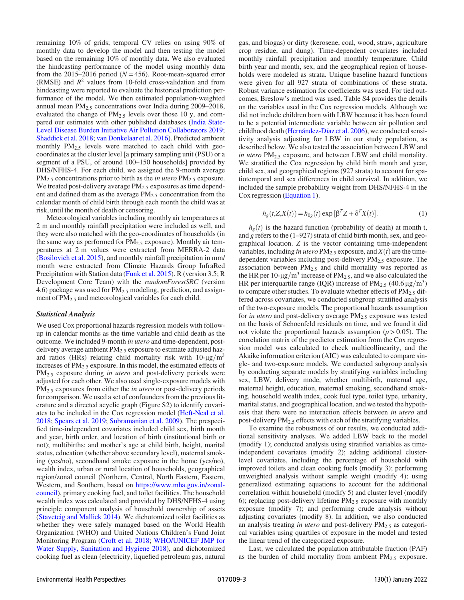remaining 10% of grids; temporal CV relies on using 90% of monthly data to develop the model and then testing the model based on the remaining 10% of monthly data. We also evaluated the hindcasting performance of the model using monthly data from the 2015–2016 period ( $N = 456$ ). Root-mean-squared error (RMSE) and  $R^2$  values from 10-fold cross-validation and from hindcasting were reported to evaluate the historical prediction performance of the model. We then estimated population-weighted annual mean  $PM_{2.5}$  concentrations over India during 2009–2018, evaluated the change of  $PM_{2.5}$  levels over those 10 y, and compared our estimates with other published databases [\(India State-](#page-8-12)[Level Disease Burden Initiative Air Pollution Collaborators 2019](#page-8-12); [Shaddick et al. 2018](#page-8-19); [van Donkelaar et al. 2016](#page-9-3)). Predicted ambient monthly PM<sub>2.5</sub> levels were matched to each child with geocoordinates at the cluster level [a primary sampling unit (PSU) or a segment of a PSU, of around 100–150 households] provided by DHS/NFHS-4. For each child, we assigned the 9-month average  $PM_{2.5}$  concentrations prior to birth as the *in utero*  $PM_{2.5}$  exposure. We treated post-delivery average PM<sub>2.5</sub> exposures as time dependent and defined them as the average PM<sub>2.5</sub> concentration from the calendar month of child birth through each month the child was at risk, until the month of death or censoring.

Meteorological variables including monthly air temperatures at 2 m and monthly rainfall precipitation were included as well, and they were also matched with the geo-coordinates of households (in the same way as performed for  $PM_{2,5}$  exposure). Monthly air temperatures at 2 m values were extracted from MERRA-2 data [\(Bosilovich et al. 2015\)](#page-8-22), and monthly rainfall precipitation in mm/ month were extracted from Climate Hazards Group InfraRed Precipitation with Station data [\(Funk et al. 2015](#page-8-24)). R (version 3.5; R Development Core Team) with the randomForestSRC (version 4.6) package was used for  $PM_{2.5}$  modeling, prediction, and assignment of PM<sub>2.5</sub> and meteorological variables for each child.

#### Statistical Analysis

We used Cox proportional hazards regression models with followup in calendar months as the time variable and child death as the outcome. We included 9-month in utero and time-dependent, postdelivery average ambient  $PM<sub>2.5</sub>$  exposure to estimate adjusted hazard ratios (HRs) relating child mortality risk with  $10-\mu g/m^3$ increases of  $PM_{2.5}$  exposure. In this model, the estimated effects of  $PM<sub>2.5</sub>$  exposure during in utero and post-delivery periods were adjusted for each other. We also used single-exposure models with  $PM<sub>2.5</sub>$  exposures from either the *in utero* or post-delivery periods for comparison. We used a set of confounders from the previous literature and a directed acyclic graph (Figure S2) to identify covariates to be included in the Cox regression model [\(Heft-Neal et al.](#page-8-8) [2018](#page-8-8); [Spears et al. 2019;](#page-8-5) [Subramanian et al. 2009](#page-9-6)). The prespecified time-independent covariates included child sex, birth month and year, birth order, and location of birth (institutional birth or not); multibirths; and mother's age at child birth, height, marital status, education (whether above secondary level), maternal smoking (yes/no), secondhand smoke exposure in the home (yes/no), wealth index, urban or rural location of households, geographical region/zonal council (Northern, Central, North Eastern, Eastern, Western, and Southern, based on [https://www.mha.gov.in/zonal](https://www.mha.gov.in/zonal-council)[council\)](https://www.mha.gov.in/zonal-council), primary cooking fuel, and toilet facilities. The household wealth index was calculated and provided by DHS/NFHS-4 using principle component analysis of household ownership of assets [\(Staveteig and Mallick 2014](#page-8-25)). We dichotomized toilet facilities as whether they were safely managed based on the World Health Organization (WHO) and United Nations Children's Fund Joint Monitoring Program [\(Croft et al. 2018](#page-8-26); [WHO/UNICEF JMP for](#page-9-7) [Water Supply, Sanitation and Hygiene 2018\)](#page-9-7), and dichotomized cooking fuel as clean (electricity, liquefied petroleum gas, natural gas, and biogas) or dirty (kerosene, coal, wood, straw, agriculture crop residue, and dung). Time-dependent covariates included monthly rainfall precipitation and monthly temperature. Child birth year and month, sex, and the geographical region of households were modeled as strata. Unique baseline hazard functions were given for all 927 strata of combinations of these strata. Robust variance estimation for coefficients was used. For tied outcomes, Breslow's method was used. Table S4 provides the details on the variables used in the Cox regression models. Although we did not include children born with LBW because it has been found to be a potential intermediate variable between air pollution and childhood death ([Hernández-Díaz et al. 2006\)](#page-8-27), we conducted sensitivity analysis adjusting for LBW in our study population, as described below. We also tested the association between LBW and in utero  $PM_{2.5}$  exposure, and between LBW and child mortality. We stratified the Cox regression by child birth month and year, child sex, and geographical regions (927 strata) to account for spatiotemporal and sex differences in child survival. In addition, we included the sample probability weight from DHS/NFHS-4 in the Cox regression [\(Equation 1\)](#page-2-0).

<span id="page-2-0"></span>
$$
h_g(t, Z, X(t)) = h_{0g}(t) \exp\left[\beta^T Z + \delta^T X(t)\right].
$$
 (1)

 $h<sub>g</sub>(t)$  is the hazard function (probability of death) at month t, and g refers to the (1–927) strata of child birth month, sex, and geographical location. Z is the vector containing time-independent variables, including in utero  $PM_{2.5}$  exposure, and  $X(t)$  are the timedependent variables including post-delivery  $PM_{2.5}$  exposure. The association between  $PM_{2.5}$  and child mortality was reported as the HR per 10- $\mu$ g/m<sup>3</sup> increase of PM<sub>2.5</sub>, and we also calculated the HR per interquartile range (IQR) increase of  $PM_{2.5}$  (40.6  $\mu$ g/m<sup>3</sup>) to compare other studies. To evaluate whether effects of  $PM_{2.5}$  differed across covariates, we conducted subgroup stratified analysis of the two-exposure models. The proportional hazards assumption for in utero and post-delivery average  $PM<sub>2.5</sub>$  exposure was tested on the basis of Schoenfeld residuals on time, and we found it did not violate the proportional hazards assumption ( $p > 0.05$ ). The correlation matrix of the predictor estimation from the Cox regression model was calculated to check multicollinearity, and the Akaike information criterion (AIC) was calculated to compare single- and two-exposure models. We conducted subgroup analysis by conducting separate models by stratifying variables including sex, LBW, delivery mode, whether multibirth, maternal age, maternal height, education, maternal smoking, secondhand smoking, household wealth index, cook fuel type, toilet type, urbanity, marital status, and geographical location, and we tested the hypothesis that there were no interaction effects between in utero and post-delivery PM<sub>2.5</sub> effects with each of the stratifying variables.

To examine the robustness of our results, we conducted additional sensitivity analyses. We added LBW back to the model (modify 1); conducted analysis using stratified variables as timeindependent covariates (modify 2); adding additional clusterlevel covariates, including the percentage of household with improved toilets and clean cooking fuels (modify 3); performing unweighted analysis without sample weight (modify 4); using generalized estimating equations to account for the additional correlation within household (modify 5) and cluster level (modify 6); replacing post-delivery lifetime  $PM_{2.5}$  exposure with monthly exposure (modify 7); and performing crude analysis without adjusting covariates (modify 8). In addition, we also conducted an analysis treating in utero and post-delivery  $PM_{2.5}$  as categorical variables using quartiles of exposure in the model and tested the linear trend of the categorized exposure.

Last, we calculated the population attributable fraction (PAF) as the burden of child mortality from ambient  $PM_{2.5}$  exposure.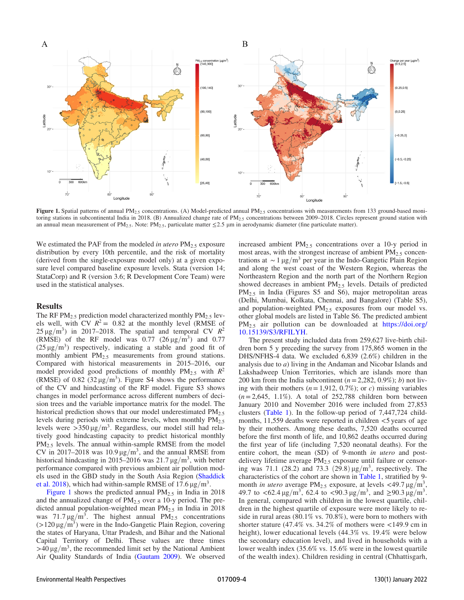

Figure 1. Spatial patterns of annual PM<sub>2.5</sub> concentrations. (A) Model-predicted annual PM<sub>2.5</sub> concentrations with measurements from 133 ground-based monitoring stations in subcontinental India in 2018. (B) Annualized change rate of PM<sub>2.5</sub> concentrations between 2009–2018. Circles represent ground station with an annual mean measurement of PM<sub>2.5</sub>. Note: PM<sub>2.5</sub>, particulate matter  $\leq$ 2.5 µm in aerodynamic diameter (fine particulate matter).

We estimated the PAF from the modeled in utero  $PM_{2.5}$  exposure distribution by every 10th percentile, and the risk of mortality (derived from the single-exposure model only) at a given exposure level compared baseline exposure levels. Stata (version 14; StataCorp) and R (version 3.6; R Development Core Team) were used in the statistical analyses.

### **Results**

The RF  $PM_{2.5}$  prediction model characterized monthly  $PM_{2.5}$  levels well, with CV  $R^2 = 0.82$  at the monthly level (RMSE of  $25 \mu$ g/m<sup>3</sup>) in 2017–2018. The spatial and temporal CV  $R^2$ (RMSE) of the RF model was  $0.77$   $(26 \mu g/m^3)$  and  $0.77$  $(25 \,\mu\text{g/m}^3)$  respectively, indicating a stable and good fit of monthly ambient PM<sub>2.5</sub> measurements from ground stations. Compared with historical measurements in 2015–2016, our model provided good predictions of monthly  $PM_{2.5}$  with  $R^2$ (RMSE) of 0.82 (32  $\mu$ g/m<sup>3</sup>). Figure S4 shows the performance of the CV and hindcasting of the RF model. Figure S3 shows changes in model performance across different numbers of decision trees and the variable importance matrix for the model. The historical prediction shows that our model underestimated  $PM_{2.5}$ levels during periods with extreme levels, when monthly  $PM_{2.5}$ levels were  $>350 \mu g/m^3$ . Regardless, our model still had relatively good hindcasting capacity to predict historical monthly PM<sub>2.5</sub> levels. The annual within-sample RMSE from the model CV in 2017–2018 was 10.9  $\mu$ g/m<sup>3</sup>, and the annual RMSE from historical hindcasting in 2015–2016 was  $21.7 \,\mathrm{\upmu g/m^3}$ , with better performance compared with previous ambient air pollution models used in the GBD study in the South Asia Region ([Shaddick](#page-8-19) [et al. 2018\)](#page-8-19), which had within-sample RMSE of 17.6  $\mu$ g/m<sup>3</sup>.

Figure 1 shows the predicted annual  $PM_{2.5}$  in India in 2018 and the annualized change of  $PM<sub>2.5</sub>$  over a 10-y period. The predicted annual population-weighted mean  $PM_{2.5}$  in India in 2018 was 71.7  $\mu$ g/m<sup>3</sup>. The highest annual PM<sub>2.5</sub> concentrations  $(>120 \,\mu g/m^3)$  were in the Indo-Gangetic Plain Region, covering the states of Haryana, Uttar Pradesh, and Bihar and the National Capital Territory of Delhi. These values are three times  $>40 \mu g/m<sup>3</sup>$ , the recommended limit set by the National Ambient Air Quality Standards of India ([Gautam 2009\)](#page-8-28). We observed increased ambient PM2:<sup>5</sup> concentrations over a 10-y period in most areas, with the strongest increase of ambient  $PM_{2.5}$  concentrations at ~1 μg/m<sup>3</sup> per year in the Indo-Gangetic Plain Region and along the west coast of the Western Region, whereas the Northeastern Region and the north part of the Northern Region showed decreases in ambient  $PM_{2.5}$  levels. Details of predicted PM<sub>2.5</sub> in India (Figures S5 and S6), major metropolitan areas (Delhi, Mumbai, Kolkata, Chennai, and Bangalore) (Table S5), and population-weighted  $PM<sub>2.5</sub>$  exposures from our model vs. other global models are listed in Table S6. The predicted ambient PM2:<sup>5</sup> air pollution can be downloaded at [https://doi.org/](https://doi.org/10.15139/S3/RFILYH) [10.15139/S3/RFILYH.](https://doi.org/10.15139/S3/RFILYH)

The present study included data from 259,627 live-birth children born 5 y preceding the survey from 175,865 women in the DHS/NFHS-4 data. We excluded 6,839 (2.6%) children in the analysis due to a) living in the Andaman and Nicobar Islands and Lakshadweep Union Territories, which are islands more than 200 km from the India subcontinent ( $n = 2,282, 0.9\%$ ); b) not living with their mothers ( $n = 1,912, 0.7\%$ ); or c) missing variables  $(n= 2,645, 1.1\%)$ . A total of 252,788 children born between January 2010 and November 2016 were included from 27,853 clusters [\(Table 1](#page-4-0)). In the follow-up period of 7,447,724 childmonths, 11,559 deaths were reported in children <5 years of age by their mothers. Among these deaths, 7,520 deaths occurred before the first month of life, and 10,862 deaths occurred during the first year of life (including 7,520 neonatal deaths). For the entire cohort, the mean (SD) of 9-month in utero and postdelivery lifetime average  $PM<sub>2.5</sub>$  exposure until failure or censoring was 71.1 (28.2) and 73.3 (29.8)  $\mu$ g/m<sup>3</sup>, respectively. The characteristics of the cohort are shown in [Table 1](#page-4-0), stratified by 9 month in utero average PM<sub>2.5</sub> exposure, at levels <49.7  $\mu$ g/m<sup>3</sup>, 49.7 to  $\langle 62.4 \mu g/m^3$ , 62.4 to  $\langle 90.3 \mu g/m^3$ , and  $\geq 90.3 \mu g/m^3$ . In general, compared with children in the lowest quartile, children in the highest quartile of exposure were more likely to reside in rural areas (80.1% vs. 70.8%), were born to mothers with shorter stature (47.4% vs. 34.2% of mothers were  $\lt$ 149.9 cm in height), lower educational levels (44.3% vs. 19.4% were below the secondary education level), and lived in households with a lower wealth index (35.6% vs. 15.6% were in the lowest quartile of the wealth index). Children residing in central (Chhattisgarh,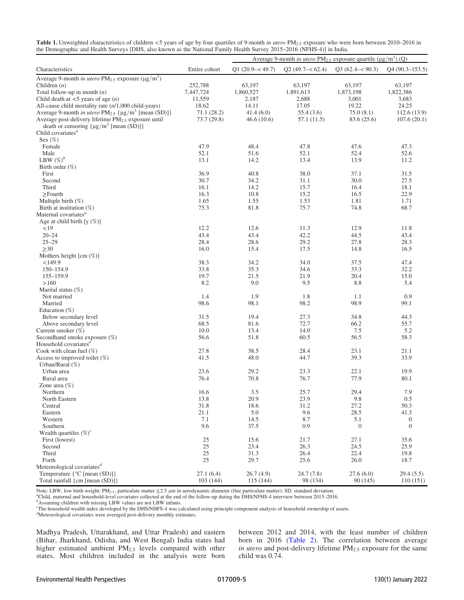<span id="page-4-0"></span>

| Table 1. Unweighted characteristics of children <5 years of age by four quartiles of 9-month in utero PM <sub>2.5</sub> exposure who were born between 2010–2016 in |
|---------------------------------------------------------------------------------------------------------------------------------------------------------------------|
| the Demographic and Health Surveys [DHS, also known as the National Family Health Survey 2015–2016 (NFHS-4)] in India.                                              |

|                                                                                |               | Average 9-month in utero $PM_{2.5}$ exposure quartile ( $\mu$ g/m <sup>3</sup> ) (Q) |                   |                     |                  |  |
|--------------------------------------------------------------------------------|---------------|--------------------------------------------------------------------------------------|-------------------|---------------------|------------------|--|
| Characteristics                                                                | Entire cohort | $Q1(20.9 - < 49.7)$                                                                  | $Q2(49.7 - 62.4)$ | $Q3(62.4 - < 90.3)$ | $Q4(90.3-153.5)$ |  |
| Average 9-month in utero PM <sub>2.5</sub> exposure ( $\mu$ g/m <sup>3</sup> ) |               |                                                                                      |                   |                     |                  |  |
| Children $(n)$                                                                 | 252,788       | 63,197                                                                               | 63,197            | 63,197              | 63,197           |  |
| Total follow-up in month $(n)$                                                 | 7,447,724     | 1,860,527                                                                            | 1,891,613         | 1,873,198           | 1,822,386        |  |
| Child death at $<$ 5 years of age $(n)$                                        | 11,559        | 2,187                                                                                | 2,688             | 3,001               | 3,683            |  |
| All-cause child mortality rate $(n/1,000 \text{ child-years})$                 | 18.62         | 14.11                                                                                | 17.05             | 19.22               | 24.25            |  |
| Average 9-month in utero $PM_{2.5}$ { $\mu$ g/m <sup>3</sup> [mean (SD)]}      | 71.1(28.2)    | 41.4(6.0)                                                                            | 55.4(3.6)         | 75.0(8.1)           | 112.6 (13.9)     |  |
| Average post-delivery lifetime PM <sub>2.5</sub> exposure until                | 73.7 (29.8)   | 46.6(10.6)                                                                           | 57.1(11.5)        | 83.6 (25.6)         | 107.6(20.1)      |  |
| death or censoring $\{\mu g/m^3 \text{ [mean (SD)]}\}\$                        |               |                                                                                      |                   |                     |                  |  |
| Child covariates $a$                                                           |               |                                                                                      |                   |                     |                  |  |
| Sex $(\%)$                                                                     |               |                                                                                      |                   |                     |                  |  |
| Female                                                                         | 47.9          | 48.4                                                                                 | 47.8              | 47.6                | 47.3             |  |
| Male                                                                           | 52.1          | 51.6                                                                                 | 52.1              | 52.4                | 52.6             |  |
| LBW $(\%)^b$                                                                   | 13.1          | 14.2                                                                                 | 13.4              | 13.9                | 11.2             |  |
| Birth order $(\%)$                                                             |               |                                                                                      |                   |                     |                  |  |
| First                                                                          | 36.9          | 40.8                                                                                 | 38.0              | 37.1                | 31.5             |  |
| Second                                                                         | 30.7          | 34.2                                                                                 | 31.1              | 30.0                | 27.5             |  |
| Third                                                                          | 16.1          | 14.2                                                                                 | 15.7              | 16.4                | 18.1             |  |
| $\geq$ Fourth                                                                  | 16.3          | 10.8                                                                                 | 15.2              | 16.5                | 22.9             |  |
| Multiple birth $(\%)$                                                          | 1.65          | 1.55                                                                                 | 1.53              | 1.81                | 1.71             |  |
| Birth at institution $(\%)$                                                    | 75.3          | 81.8                                                                                 | 75.7              | 74.8                | 68.7             |  |
| Maternal covariates <sup>a</sup>                                               |               |                                                                                      |                   |                     |                  |  |
| Age at child birth $[y (\%)]$                                                  |               |                                                                                      |                   |                     |                  |  |
| <19                                                                            | 12.2          | 12.6                                                                                 | 11.3              | 12.9                | 11.8             |  |
| $20 - 24$                                                                      | 43.4          | 43.4                                                                                 | 42.2              | 44.5                | 43.4             |  |
| $25 - 29$                                                                      | 28.4          | 28.6                                                                                 | 29.2              | 27.8                | 28.3             |  |
| $\geq$ 30                                                                      | 16.0          | 15.4                                                                                 | 17.5              | 14.8                | 16.5             |  |
| Mothers height [cm (%)]                                                        |               |                                                                                      |                   |                     |                  |  |
| <149.9                                                                         | 38.3          | 34.2                                                                                 | 34.0              | 37.5                | 47.4             |  |
| 150-154.9                                                                      | 33.8          | 35.3                                                                                 | 34.6              | 33.3                | 32.2             |  |
| 155-159.9                                                                      | 19.7          | 21.5                                                                                 | 21.9              | 20.4                | 15.0             |  |
| >160                                                                           | 8.2           | 9.0                                                                                  | 9.5               | 8.8                 | 5.4              |  |
| Marital status $(\%)$                                                          |               |                                                                                      |                   |                     |                  |  |
| Not married                                                                    | 1.4           | 1.9                                                                                  | 1.8               | 1.1                 | 0.9              |  |
| Married                                                                        | 98.6          | 98.1                                                                                 | 98.2              | 98.9                | 99.1             |  |
| Education $(\%)$                                                               |               |                                                                                      |                   |                     |                  |  |
| Below secondary level                                                          | 31.5          | 19.4                                                                                 | 27.3              | 34.8                | 44.3             |  |
| Above secondary level                                                          | 68.5          | 81.6                                                                                 | 72.7              | 66.2                | 55.7             |  |
| Current smoker (%)                                                             | 10.0          | 13.4                                                                                 | 14.0              | 7.5                 | 5.2              |  |
| Secondhand smoke exposure (%)                                                  | 56.6          | 51.8                                                                                 | 60.5              | 56.5                | 58.3             |  |
| Household covariates <sup>a</sup>                                              |               |                                                                                      |                   |                     |                  |  |
| Cook with clean fuel $(\%)$                                                    | 27.8          | 38.5                                                                                 | 28.4              | 23.1                | 21.1             |  |
| Access to improved toilet $(\%)$                                               | 41.5          | 48.0                                                                                 | 44.7              | 39.3                | 33.9             |  |
| Urban/Rural (%)                                                                |               |                                                                                      |                   |                     |                  |  |
| Urban area                                                                     | 23.6          | 29.2                                                                                 | 23.3              | 22.1                | 19.9             |  |
| Rural area                                                                     | 76.4          | 70.8                                                                                 | 76.7              | 77.9                | 80.1             |  |
| Zone area $(\%)$                                                               |               |                                                                                      |                   |                     |                  |  |
| Northern                                                                       | 16.6          | 3.5                                                                                  | 25.7              | 29.4                | 7.9              |  |
| North Eastern                                                                  | 13.8          | 20.9                                                                                 | 23.9              | $9.8\,$             | $0.5\,$          |  |
| Central                                                                        | 31.8          | 18.6                                                                                 | 31.2              | 27.2                | 50.3             |  |
| Eastern                                                                        | 21.1          | 5.0                                                                                  | 9.6               | 28.5                | 41.3             |  |
| Western                                                                        | 7.1           | 14.5                                                                                 | 8.7               | 5.1                 | $\mathbf{0}$     |  |
| Southern                                                                       | 9.6           | 37.5                                                                                 | 0.9               | $\mathbf{0}$        | $\mathbf{0}$     |  |
| Wealth quartiles $(\%)^c$                                                      |               |                                                                                      |                   |                     |                  |  |
| First (lowest)                                                                 | $25\,$        | 15.6                                                                                 | 21.7              | 27.1                | 35.6             |  |
| Second                                                                         | $25\,$        | 23.4                                                                                 | 26.3              | 24.5                | 25.9             |  |
| Third                                                                          | 25            | 31.3                                                                                 | 26.4              | 22.4                | 19.8             |  |
| Forth                                                                          | $25\,$        | 29.7                                                                                 | 25.6              | 26.0                | 18.7             |  |
| Meteorological covariates $d$                                                  |               |                                                                                      |                   |                     |                  |  |
| Temperature $\{^{\circ}C$ [mean (SD)]}                                         | 27.1(6.4)     | 26.7(4.9)                                                                            | 24.7(7.8)         | 27.6(6.0)           | 29.4(5.5)        |  |
| Total rainfall {cm [mean (SD)]}                                                | 103 (144)     | 115 (144)                                                                            | 98 (134)          | 90(145)             | 110(151)         |  |

Note: LBW, low birth weight; PM<sub>2.5</sub>, particulate matter ≤2.5 µm in aerodynamic diameter (fine particulate matter); SD, standard deviation.

Child, maternal and household-level covariates collected at the end of the follow-up during the DHS/NFHS-4 interview between 2015–2016. <sup>b</sup> Assuming children with missing LBW values are not LBW infants.

The household wealth index developed by the DHS/NHFS-4 was calculated using principle component analysis of household ownership of assets.<br><sup>d</sup>Meteorological covariates were averaged post-delivery monthly estimates.

Madhya Pradesh, Uttarakhand, and Uttar Pradesh) and eastern (Bihar, Jharkhand, Odisha, and West Bengal) India states had higher estimated ambient PM2:<sup>5</sup> levels compared with other states. Most children included in the analysis were born between 2012 and 2014, with the least number of children born in 2016 [\(Table 2](#page-5-0)). The correlation between average in utero and post-delivery lifetime PM<sub>2.5</sub> exposure for the same child was 0.74.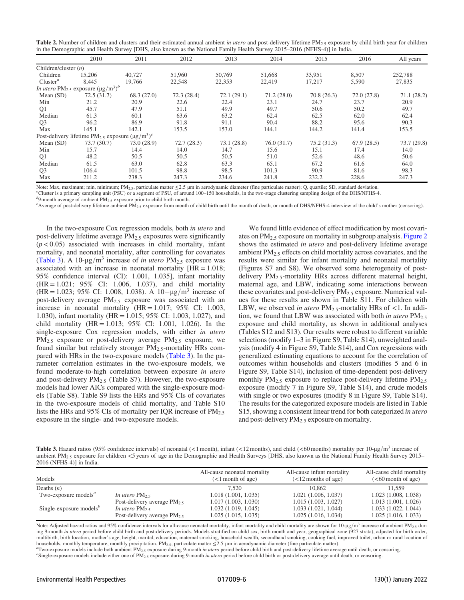<span id="page-5-0"></span>

| Table 2. Number of children and clusters and their estimated annual ambient in <i>utero</i> and post-delivery lifetime $PM_{2,5}$ exposure by child birth year for children |  |
|-----------------------------------------------------------------------------------------------------------------------------------------------------------------------------|--|
| in the Demographic and Health Survey [DHS, also known as the National Family Health Survey 2015–2016 (NFHS-4)] in India.                                                    |  |

|                        | 2010                                                              | 2011        | 2012       | 2013       | 2014       | 2015       | 2016       | All years   |
|------------------------|-------------------------------------------------------------------|-------------|------------|------------|------------|------------|------------|-------------|
| Children/cluster $(n)$ |                                                                   |             |            |            |            |            |            |             |
| Children               | 15,206                                                            | 40.727      | 51,960     | 50,769     | 51,668     | 33,951     | 8,507      | 252,788     |
| Cluster <sup>a</sup>   | 8,445                                                             | 19,766      | 22,548     | 22,353     | 22,419     | 17,217     | 5,590      | 27,835      |
|                        | <i>In utero</i> $PM_{2.5}$ exposure $(\mu g/m^3)^b$               |             |            |            |            |            |            |             |
| Mean $(SD)$            | 72.5(31.7)                                                        | 68.3(27.0)  | 72.3(28.4) | 72.1(29.1) | 71.2(28.0) | 70.8(26.3) | 72.0(27.8) | 71.1(28.2)  |
| Min                    | 21.2                                                              | 20.9        | 22.6       | 22.4       | 23.1       | 24.7       | 23.7       | 20.9        |
| Q1                     | 45.7                                                              | 47.9        | 51.1       | 49.9       | 49.7       | 50.6       | 50.2       | 49.7        |
| Median                 | 61.3                                                              | 60.1        | 63.6       | 63.2       | 62.4       | 62.5       | 62.0       | 62.4        |
| Q <sub>3</sub>         | 96.2                                                              | 86.9        | 91.8       | 91.1       | 90.4       | 88.2       | 95.6       | 90.3        |
| Max                    | 145.1                                                             | 142.1       | 153.5      | 153.0      | 144.1      | 144.2      | 141.4      | 153.5       |
|                        | Post-delivery lifetime PM <sub>2.5</sub> exposure $(\mu g/m^3)^c$ |             |            |            |            |            |            |             |
| Mean $(SD)$            | 73.7 (30.7)                                                       | 73.0 (28.9) | 72.7(28.3) | 73.1(28.8) | 76.0(31.7) | 75.2(31.3) | 67.9(28.5) | 73.7 (29.8) |
| Min                    | 15.7                                                              | 14.4        | 14.0       | 14.7       | 15.6       | 15.1       | 17.4       | 14.0        |
| Q1                     | 48.2                                                              | 50.5        | 50.5       | 50.5       | 51.0       | 52.6       | 48.6       | 50.6        |
| Median                 | 61.5                                                              | 63.0        | 62.8       | 63.3       | 65.1       | 67.2       | 61.6       | 64.0        |
| Q <sub>3</sub>         | 106.4                                                             | 101.5       | 98.8       | 98.5       | 101.3      | 90.9       | 81.6       | 98.3        |
| Max                    | 211.2                                                             | 238.3       | 247.3      | 234.6      | 241.8      | 232.2      | 228.6      | 247.3       |

Note: Max, maximum; min, minimum; PM<sub>2.5</sub>, particulate matter ≤2.5 µm in aerodynamic diameter (fine particulate matter); Q, quartile; SD, standard deviation.

Cluster is a primary sampling unit (PSU) or a segment of PSU, of around 100–150 households, in the two-stage clustering sampling design of the DHS/NFHS-4. <sup>b</sup>

 $b$ 9-month average of ambient PM<sub>2.5</sub> exposure prior to child birth month.

<sup>c</sup>Average of post-delivery lifetime ambient PM<sub>2.5</sub> exposure from month of child birth until the month of death, or month of DHS/NFHS-4 interview of the child's mother (censoring).

In the two-exposure Cox regression models, both in utero and post-delivery lifetime average PM<sub>2.5</sub> exposures were significantly  $(p<0.05)$  associated with increases in child mortality, infant mortality, and neonatal mortality, after controlling for covariates [\(Table 3\)](#page-5-1). A 10- $\mu$ g/m<sup>3</sup> increase of *in utero* PM<sub>2.5</sub> exposure was associated with an increase in neonatal mortality  $[HR = 1.018;$ 95% confidence interval (CI): 1.001, 1.035], infant mortality (HR = 1:021; 95% CI: 1.006, 1.037), and child mortality (HR = 1.023; 95% CI: 1.008, 1.038). A  $10-\mu g/m^3$  increase of post-delivery average PM<sub>2.5</sub> exposure was associated with an increase in neonatal mortality  $(HR = 1.017; 95\% \text{ CI: } 1.003,$ 1.030), infant mortality (HR = 1:015; 95% CI: 1.003, 1.027), and child mortality (HR = 1:013; 95% CI: 1.001, 1.026). In the single-exposure Cox regression models, with either in utero  $PM_{2.5}$  exposure or post-delivery average  $PM_{2.5}$  exposure, we found similar but relatively stronger  $PM_{2.5}$ -mortality HRs compared with HRs in the two-exposure models ([Table 3\)](#page-5-1). In the parameter correlation estimates in the two-exposure models, we found moderate-to-high correlation between exposure in utero and post-delivery  $PM_{2.5}$  (Table S7). However, the two-exposure models had lower AICs compared with the single-exposure models (Table S8). Table S9 lists the HRs and 95% CIs of covariates in the two-exposure models of child mortality, and Table S10 lists the HRs and 95% CIs of mortality per IQR increase of  $PM_{2.5}$ exposure in the single- and two-exposure models.

We found little evidence of effect modification by most covariates on PM2:<sup>5</sup> exposure on mortality in subgroup analysis. [Figure 2](#page-6-0) shows the estimated in utero and post-delivery lifetime average ambient  $PM<sub>2.5</sub>$  effects on child mortality across covariates, and the results were similar for infant mortality and neonatal mortality (Figures S7 and S8). We observed some heterogeneity of postdelivery PM<sub>2.5</sub>-mortality HRs across different maternal height, maternal age, and LBW, indicating some interactions between these covariates and post-delivery  $PM_{2.5}$  exposure. Numerical values for these results are shown in Table S11. For children with LBW, we observed in utero  $PM_{2.5}$ -mortality HRs of <1. In addition, we found that LBW was associated with both in utero  $PM_{2.5}$ exposure and child mortality, as shown in additional analyses (Tables S12 and S13). Our results were robust to different variable selections (modify 1–3 in Figure S9, Table S14), unweighted analysis (modify 4 in Figure S9, Table S14), and Cox regressions with generalized estimating equations to account for the correlation of outcomes within households and clusters (modifies 5 and 6 in Figure S9, Table S14), inclusion of time-dependent post-delivery monthly  $PM_{2.5}$  exposure to replace post-delivery lifetime  $PM_{2.5}$ exposure (modify 7 in Figure S9, Table S14), and crude models with single or two exposures (modify 8 in Figure S9, Table S14). The results for the categorized exposure models are listed in Table S15, showing a consistent linear trend for both categorized in utero and post-delivery  $PM_{2.5}$  exposure on mortality.

<span id="page-5-1"></span>**Table 3.** Hazard ratios (95% confidence intervals) of neonatal (<1 month), infant (<12 months), and child (<60 months) mortality per 10-µg/m<sup>3</sup> increase of ambient PM<sub>2.5</sub> exposure for children <5 years of age in the Demographic and Health Surveys [DHS, also known as the National Family Health Survey 2015– 2016 (NFHS-4)] in India.

| Models                                                |                                | All-cause neonatal mortality<br>$(<1$ month of age) | All-cause infant mortality<br>$(<12$ months of age) | All-cause child mortality<br>$(< 60$ month of age) |
|-------------------------------------------------------|--------------------------------|-----------------------------------------------------|-----------------------------------------------------|----------------------------------------------------|
| Deaths $(n)$                                          |                                | 7.520                                               | 10.862                                              | 11.559                                             |
| Two-exposure models <sup><math>a</math></sup>         | In utero PM <sub>2.5</sub>     | 1.018(1.001, 1.035)                                 | 1.021(1.006, 1.037)                                 | 1.023(1.008, 1.038)                                |
|                                                       | Post-delivery average $PM_2$ , | 1.017(1.003, 1.030)                                 | 1.015(1.003, 1.027)                                 | 1.013(1.001, 1.026)                                |
| Single-exposure models <sup><math>\theta</math></sup> | In utero PM <sub>2.5</sub>     | 1.032(1.019, 1.045)                                 | 1.033(1.021, 1.044)                                 | 1.033(1.022, 1.044)                                |
|                                                       | Post-delivery average $PM_2$ , | 1.025(1.015, 1.035)                                 | 1.025(1.016, 1.034)                                 | 1.025(1.016, 1.033)                                |

Note: Adjusted hazard ratios and 95% confidence intervals for all-cause neonatal mortality, infant mortality and child mortality are shown for 10-µg/m<sup>3</sup> increase of ambient PM<sub>2.5</sub> during 9-month in utero period before child birth and post-delivery periods. Models stratified on child sex, birth month and year, geographical zone (927 strata), adjusted for birth order, multibirth, birth location, mother's age, height, marital, education, maternal smoking, household wealth, secondhand smoking, cooking fuel, improved toilet, urban or rural location of households, monthly temperature, monthly precipitation. PM<sub>2.5</sub>, particulate matter  $\leq$ 2.5 µm in aerodynamic diameter (fine particulate matter).

Two-exposure models include both ambient PM<sub>2.5</sub> exposure during 9-month in utero period before child birth and post-delivery lifetime average until death, or censoring.  ${}^{b}$ Single-exposure models include either one of PM<sub>2.5</sub> exposure during 9-month *in utero* period before child birth or post-delivery average until death, or censoring.

Environmental Health Perspectives 017009-6 130(1) January 2022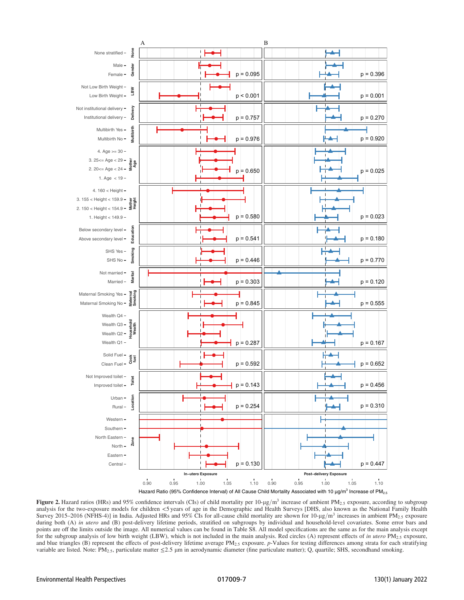<span id="page-6-0"></span>

**Figure 2.** Hazard ratios (HRs) and 95% confidence intervals (CIs) of child mortality per 10-µg/m<sup>3</sup> increase of ambient PM<sub>2.5</sub> exposure, according to subgroup analysis for the two-exposure models for children <5 years of age in the Demographic and Health Surveys [DHS, also known as the National Family Health Survey 2015–2016 (NFHS-4)] in India. Adjusted HRs and 95% CIs for all-cause child mortality are shown for 10-µg/m<sup>3</sup> increases in ambient PM<sub>2.5</sub> exposure during both (A) in utero and (B) post-delivery lifetime periods, stratified on subgroups by individual and household-level covariates. Some error bars and points are off the limits outside the image. All numerical values can be found in Table S8. All model specifications are the same as for the main analysis except for the subgroup analysis of low birth weight (LBW), which is not included in the main analysis. Red circles (A) represent effects of in utero PM<sub>2.5</sub> exposure, and blue triangles (B) represent the effects of post-delivery lifetime average  $PM_{2.5}$  exposure. p-Values for testing differences among strata for each stratifying variable are listed. Note: PM<sub>2.5</sub>, particulate matter  $\leq$  2.5 µm in aerodynamic diameter (fine particulate matter); Q, quartile; SHS, secondhand smoking.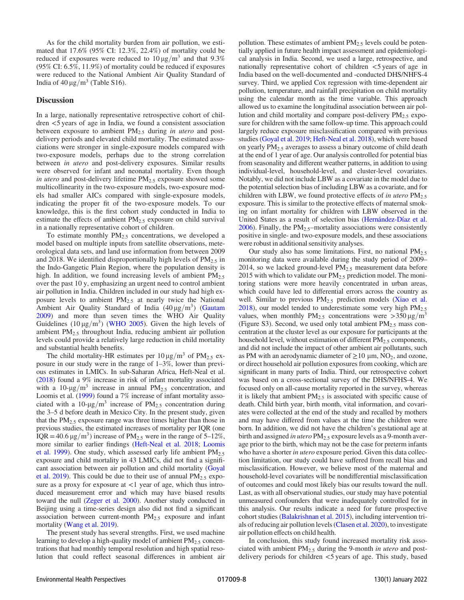As for the child mortality burden from air pollution, we estimated that 17.6% (95% CI: 12.3%, 22.4%) of mortality could be reduced if exposures were reduced to  $10 \mu g/m^3$  and that 9.3% (95% CI: 6.5%, 11.9%) of mortality could be reduced if exposures were reduced to the National Ambient Air Quality Standard of India of  $40 \mu g/m^3$  (Table S16).

## **Discussion**

In a large, nationally representative retrospective cohort of children <5 years of age in India, we found a consistent association between exposure to ambient  $PM_{2.5}$  during in utero and postdelivery periods and elevated child mortality. The estimated associations were stronger in single-exposure models compared with two-exposure models, perhaps due to the strong correlation between *in utero* and post-delivery exposures. Similar results were observed for infant and neonatal mortality. Even though in utero and post-delivery lifetime  $PM<sub>2.5</sub>$  exposure showed some multicollinearity in the two-exposure models, two-exposure models had smaller AICs compared with single-exposure models, indicating the proper fit of the two-exposure models. To our knowledge, this is the first cohort study conducted in India to estimate the effects of ambient  $PM<sub>2.5</sub>$  exposure on child survival in a nationally representative cohort of children.

To estimate monthly  $PM_{2.5}$  concentrations, we developed a model based on multiple inputs from satellite observations, meteorological data sets, and land use information from between 2009 and 2018. We identified disproportionally high levels of  $PM<sub>2.5</sub>$  in the Indo-Gangetic Plain Region, where the population density is high. In addition, we found increasing levels of ambient  $PM_{2.5}$ over the past 10 y, emphasizing an urgent need to control ambient air pollution in India. Children included in our study had high exposure levels to ambient  $PM_{2.5}$  at nearly twice the National Ambient Air Quality Standard of India  $(40 \,\mu g/m^3)$  [\(Gautam](#page-8-28) [2009](#page-8-28)) and more than seven times the WHO Air Quality Guidelines ( $10 \mu$ g/m<sup>3</sup>) ([WHO 2005](#page-9-8)). Given the high levels of ambient  $PM<sub>2.5</sub>$  throughout India, reducing ambient air pollution levels could provide a relatively large reduction in child mortality and substantial health benefits.

The child mortality-HR estimates per  $10 \mu g/m^3$  of PM<sub>2.5</sub> exposure in our study were in the range of 1–3%, lower than previous estimates in LMICs. In sub-Saharan Africa, Heft-Neal et al. [\(2018\)](#page-8-8) found a 9% increase in risk of infant mortality associated with a 10- $\mu$ g/m<sup>3</sup> increase in annual PM<sub>2.5</sub> concentration, and Loomis et al. [\(1999](#page-8-29)) found a 7% increase of infant mortality associated with a 10- $\mu$ g/m<sup>3</sup> increase of PM<sub>2.5</sub> concentration during the 3–5 d before death in Mexico City. In the present study, given that the  $PM<sub>2.5</sub>$  exposure range was three times higher than those in previous studies, the estimated increases of mortality per IQR (one IQR = 40.6  $\mu$ g/m<sup>3</sup>) increase of PM<sub>2.5</sub> were in the range of 5–12%, more similar to earlier findings ([Heft-Neal et al. 2018;](#page-8-8) [Loomis](#page-8-29) [et al. 1999](#page-8-29)). One study, which assessed early life ambient  $PM_{2.5}$ exposure and child mortality in 43 LMICs, did not find a significant association between air pollution and child mortality [\(Goyal](#page-8-30) [et al. 2019](#page-8-30)). This could be due to their use of annual  $PM_{2.5}$  exposure as a proxy for exposure at  $\langle 1 \rangle$  year of age, which thus introduced measurement error and which may have biased results toward the null ([Zeger et al. 2000\)](#page-9-9). Another study conducted in Beijing using a time-series design also did not find a significant association between current-month  $PM<sub>2.5</sub>$  exposure and infant mortality [\(Wang et al. 2019](#page-9-10)).

The present study has several strengths. First, we used machine learning to develop a high-quality model of ambient  $PM_{2.5}$  concentrations that had monthly temporal resolution and high spatial resolution that could reflect seasonal differences in ambient air pollution. These estimates of ambient  $PM_{2,5}$  levels could be potentially applied in future health impact assessment and epidemiological analysis in India. Second, we used a large, retrospective, and nationally representative cohort of children <5 years of age in India based on the well-documented and -conducted DHS/NHFS-4 survey. Third, we applied Cox regression with time-dependent air pollution, temperature, and rainfall precipitation on child mortality using the calendar month as the time variable. This approach allowed us to examine the longitudinal association between air pollution and child mortality and compare post-delivery  $PM_{2.5}$  exposure for children with the same follow-up time. This approach could largely reduce exposure misclassification compared with previous studies ([Goyal et al. 2019;](#page-8-30) [Heft-Neal et al. 2018\)](#page-8-8), which were based on yearly  $PM<sub>2.5</sub>$  averages to assess a binary outcome of child death at the end of 1 year of age. Our analysis controlled for potential bias from seasonality and different weather patterns, in addition to using individual-level, household-level, and cluster-level covariates. Notably, we did not include LBW as a covariate in the model due to the potential selection bias of including LBW as a covariate, and for children with LBW, we found protective effects of in utero  $PM_{2.5}$ exposure. This is similar to the protective effects of maternal smoking on infant mortality for children with LBW observed in the United States as a result of selection bias ([Hernández-Díaz et al.](#page-8-27)  $2006$ ). Finally, the PM<sub>2.5</sub>-mortality associations were consistently positive in single- and two-exposure models, and these associations were robust in additional sensitivity analyses.

Our study also has some limitations. First, no national  $PM_{2.5}$ monitoring data were available during the study period of 2009– 2014, so we lacked ground-level  $PM<sub>2.5</sub>$  measurement data before 2015 with which to validate our  $PM_{2,5}$  prediction model. The monitoring stations were more heavily concentrated in urban areas, which could have led to differential errors across the country as well. Similar to previous  $PM_{2.5}$  prediction models [\(Xiao et al.](#page-9-5) [2018\)](#page-9-5), our model tended to underestimate some very high  $PM_{2.5}$ values, when monthly PM<sub>2.5</sub> concentrations were  $>$ 350  $\mu$ g/m<sup>3</sup> (Figure S3). Second, we used only total ambient  $PM_{2.5}$  mass concentration at the cluster level as our exposure for participants at the household level, without estimation of different  $PM<sub>2.5</sub>$  components, and did not include the impact of other ambient air pollutants, such as PM with an aerodynamic diameter of  $\geq 10 \mu$ m, NO<sub>2</sub>, and ozone, or direct household air pollution exposures from cooking, which are significant in many parts of India. Third, our retrospective cohort was based on a cross-sectional survey of the DHS/NFHS-4. We focused only on all-cause mortality reported in the survey, whereas it is likely that ambient PM<sub>2.5</sub> is associated with specific cause of death. Child birth year, birth month, vital information, and covariates were collected at the end of the study and recalled by mothers and may have differed from values at the time the children were born. In addition, we did not have the children's gestational age at birth and assigned in utero PM<sub>2.5</sub> exposure levels as a 9-month average prior to the birth, which may not be the case for preterm infants who have a shorter in utero exposure period. Given this data collection limitation, our study could have suffered from recall bias and misclassification. However, we believe most of the maternal and household-level covariates will be nondifferential misclassification of outcomes and could most likely bias our results toward the null. Last, as with all observational studies, our study may have potential unmeasured confounders that were inadequately controlled for in this analysis. Our results indicate a need for future prospective cohort studies ([Balakrishnan et al. 2015](#page-8-15)), including intervention trials of reducing air pollution levels [\(Clasen et al. 2020\)](#page-8-16), to investigate air pollution effects on child health.

In conclusion, this study found increased mortality risk associated with ambient PM<sub>2.5</sub> during the 9-month in utero and postdelivery periods for children <5 years of age. This study, based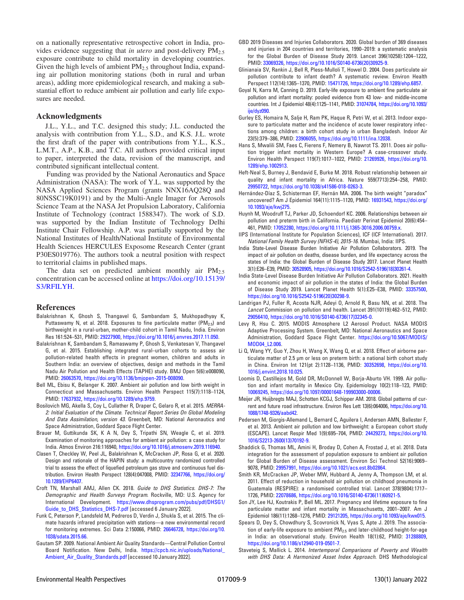on a nationally representative retrospective cohort in India, provides evidence suggesting that in utero and post-delivery  $PM_{2.5}$ exposure contribute to child mortality in developing countries. Given the high levels of ambient  $PM_{2.5}$  throughout India, expanding air pollution monitoring stations (both in rural and urban areas), adding more epidemiological research, and making a substantial effort to reduce ambient air pollution and early life exposures are needed.

#### Acknowledgments

J.L., Y.L., and T.C. designed this study; J.L. conducted the analysis with contribution from Y.L., S.D., and K.S. J.L. wrote the first draft of the paper with contributions from Y.L., K.S., L.M.T., A.P., K.B., and T.C. All authors provided critical input to paper, interpreted the data, revision of the manuscript, and contributed significant intellectual content.

Funding was provided by the National Aeronautics and Space Administration (NASA): The work of Y.L. was supported by the NASA Applied Sciences Program (grants NNX16AQ28Q and 80NSSC19K0191) and by the Multi-Angle Imager for Aerosols Science Team at the NASA Jet Propulsion Laboratory, California Institute of Technology (contract 1588347). The work of S.D. was supported by the Indian Institute of Technology Delhi Institute Chair Fellowship. A.P. was partially supported by the National Institutes of Health/National Institute of Environmental Health Sciences HERCULES Exposome Research Center (grant P30ES019776). The authors took a neutral position with respect to territorial claims in published maps.

The data set on predicted ambient monthly air  $PM_{2.5}$ concentration can be accessed online at [https://doi.org/10.15139/](https://doi.org/10.15139/S3/RFILYH) [S3/RFILYH.](https://doi.org/10.15139/S3/RFILYH)

#### References

- <span id="page-8-0"></span>Balakrishnan K, Ghosh S, Thangavel G, Sambandam S, Mukhopadhyay K, Puttaswamy N, et al. 2018. Exposures to fine particulate matter (PM<sub>2.5</sub>) and birthweight in a rural-urban, mother-child cohort in Tamil Nadu, India. Environ Res 161:524–531, PMID: [29227900,](https://www.ncbi.nlm.nih.gov/pubmed/29227900) <https://doi.org/10.1016/j.envres.2017.11.050>.
- <span id="page-8-15"></span>Balakrishnan K, Sambandam S, Ramaswamy P, Ghosh S, Venkatesan V, Thangavel G, et al. 2015. Establishing integrated rural–urban cohorts to assess air pollution-related health effects in pregnant women, children and adults in Southern India: an overview of objectives, design and methods in the Tamil Nadu Air Pollution and Health Effects (TAPHE) study. BMJ Open 5(6):e008090, PMID: [26063570](https://www.ncbi.nlm.nih.gov/pubmed/26063570), [https://doi.org/10.1136/bmjopen-2015-008090.](https://doi.org/10.1136/bmjopen-2015-008090)
- <span id="page-8-3"></span>Bell ML, Ebisu K, Belanger K. 2007. Ambient air pollution and low birth weight in Connecticut and Massachusetts. Environ Health Perspect 115(7):1118–1124, PMID: [17637932](https://www.ncbi.nlm.nih.gov/pubmed/17637932), [https://doi.org/10.1289/ehp.9759.](https://doi.org/10.1289/ehp.9759)
- <span id="page-8-22"></span>Bosilovich MG, Akella S, Coy L, Cullather R, Draper C, Gelaro R, et al. 2015. MERRA-2: Initial Evaluation of the Climate. Technical Report Series On Global Modeling And Data Assimilation, version 43. Greenbelt, MD: National Aeronautics and Space Administration, Goddard Space Flight Center.
- <span id="page-8-17"></span>Brauer M, Guttikunda SK, K A N, Dey S, Tripathi SN, Weagle C, et al. 2019. Examination of monitoring approaches for ambient air pollution: a case study for India. Atmos Environ 216:116940, <https://doi.org/10.1016/j.atmosenv.2019.116940>.
- <span id="page-8-16"></span>Clasen T, Checkley W, Peel JL, Balakrishnan K, McCracken JP, Rosa G, et al. 2020. Design and rationale of the HAPIN study: a multicountry randomized controlled trial to assess the effect of liquefied petroleum gas stove and continuous fuel distribution. Environ Health Perspect 128(4):047008, PMID: [32347766](https://www.ncbi.nlm.nih.gov/pubmed/32347766), [https://doi.org/](https://doi.org/10.1289/EHP6407) [10.1289/EHP6407](https://doi.org/10.1289/EHP6407).
- <span id="page-8-26"></span>Croft TN, Marshall AMJ, Allen CK. 2018. Guide to DHS Statistics. DHS-7: The Demographic and Health Surveys Program. Rockville, MD: U.S. Agency for International Development. [https://www.dhsprogram.com/pubs/pdf/DHSG1/](https://www.dhsprogram.com/pubs/pdf/DHSG1/Guide_to_DHS_Statistics_DHS-7.pdf) [Guide\\_to\\_DHS\\_Statistics\\_DHS-7.pdf](https://www.dhsprogram.com/pubs/pdf/DHSG1/Guide_to_DHS_Statistics_DHS-7.pdf) [accessed 6 January 2022].
- <span id="page-8-24"></span>Funk C, Peterson P, Landsfeld M, Pedreros D, Verdin J, Shukla S, et al. 2015. The climate hazards infrared precipitation with stations—a new environmental record for monitoring extremes. Sci Data 2:150066, PMID: [26646728,](https://www.ncbi.nlm.nih.gov/pubmed/26646728) [https://doi.org/10.](https://doi.org/10.1038/sdata.2015.66) [1038/sdata.2015.66](https://doi.org/10.1038/sdata.2015.66).
- <span id="page-8-28"></span>Gautam SP. 2009. National Ambient Air Quality Standards—Central Pollution Control Board Notification. New Delhi, India. [https://cpcb.nic.in/uploads/National\\_](https://cpcb.nic.in/uploads/National_Ambient_Air_Quality_Standards.pdf) [Ambient\\_Air\\_Quality\\_Standards.pdf](https://cpcb.nic.in/uploads/National_Ambient_Air_Quality_Standards.pdf) [accessed 10 January 2022].
- <span id="page-8-11"></span>GBD 2019 Diseases and Injuries Collaborators. 2020. Global burden of 369 diseases and injuries in 204 countries and territories, 1990–2019: a systematic analysis for the Global Burden of Disease Study 2019. Lancet 396(10258):1204–1222, PMID: [33069326](https://www.ncbi.nlm.nih.gov/pubmed/33069326), [https://doi.org/10.1016/S0140-6736\(20\)30925-9](https://doi.org/10.1016/S0140-6736(20)30925-9).
- <span id="page-8-13"></span>Glinianaia SV, Rankin J, Bell R, Pless-Mulloli T, Howel D. 2004. Does particulate air pollution contribute to infant death? A systematic review. Environ Health Perspect 112(14):1365–1370, PMID: [15471726](https://www.ncbi.nlm.nih.gov/pubmed/15471726), [https://doi.org/10.1289/ehp.6857.](https://doi.org/10.1289/ehp.6857)
- <span id="page-8-30"></span>Goyal N, Karra M, Canning D. 2019. Early-life exposure to ambient fine particulate air pollution and infant mortality: pooled evidence from 43 low- and middle-income countries. Int J Epidemiol 48(4):1125–1141, PMID: [31074784](https://www.ncbi.nlm.nih.gov/pubmed/31074784), [https://doi.org/10.1093/](https://doi.org/10.1093/ije/dyz090) [ije/dyz090.](https://doi.org/10.1093/ije/dyz090)
- <span id="page-8-6"></span>Gurley ES, Homaira N, Salje H, Ram PK, Haque R, Petri W, et al. 2013. Indoor exposure to particulate matter and the incidence of acute lower respiratory infections among children: a birth cohort study in urban Bangladesh. Indoor Air 23(5):379–386, PMID: [23906055](https://www.ncbi.nlm.nih.gov/pubmed/23906055), <https://doi.org/10.1111/ina.12038>.
- <span id="page-8-14"></span>Hans S, Mwalili SM, Faes C, Fierens F, Nemery B, Nawrot TS. 2011. Does air pollution trigger infant mortality in Western Europe? A case-crossover study. Environ Health Perspect 119(7):1017–1022, PMID: [21269926](https://www.ncbi.nlm.nih.gov/pubmed/21269926), [https://doi.org/10.](https://doi.org/10.1289/ehp.1002913) [1289/ehp.1002913](https://doi.org/10.1289/ehp.1002913).
- <span id="page-8-8"></span>Heft-Neal S, Burney J, Bendavid E, Burke M. 2018. Robust relationship between air quality and infant mortality in Africa. Nature 559(7713):254–258, PMID: [29950722,](https://www.ncbi.nlm.nih.gov/pubmed/29950722) <https://doi.org/10.1038/s41586-018-0263-3>.
- <span id="page-8-27"></span>Hernández-Díaz S, Schisterman EF, Hernán MA. 2006. The birth weight "paradox" uncovered? Am J Epidemiol 164(11):1115–1120, PMID: [16931543,](https://www.ncbi.nlm.nih.gov/pubmed/16931543) [https://doi.org/](https://doi.org/10.1093/aje/kwj275) [10.1093/aje/kwj275](https://doi.org/10.1093/aje/kwj275).
- <span id="page-8-1"></span>Huynh M, Woodruff TJ, Parker JD, Schoendorf KC. 2006. Relationships between air pollution and preterm birth in California. Paediatr Perinat Epidemiol 20(6):454– 461, PMID: [17052280,](https://www.ncbi.nlm.nih.gov/pubmed/17052280) [https://doi.org/10.1111/j.1365-3016.2006.00759.x.](https://doi.org/10.1111/j.1365-3016.2006.00759.x)
- <span id="page-8-20"></span>IIPS (International Institute for Population Sciences), ICF (ICF International). 2017. National Family Health Survey (NFHS-4), 2015-16. Mumbai, India: IIPS.
- <span id="page-8-12"></span>India State-Level Disease Burden Initiative Air Pollution Collaborators. 2019. The impact of air pollution on deaths, disease burden, and life expectancy across the states of India: the Global Burden of Disease Study 2017. Lancet Planet Health 3(1):E26–E39, PMID: [30528905](https://www.ncbi.nlm.nih.gov/pubmed/30528905), [https://doi.org/10.1016/S2542-5196\(18\)30261-4.](https://doi.org/10.1016/S2542-5196(18)30261-4)
- <span id="page-8-10"></span>India State-Level Disease Burden Initiative Air Pollution Collaborators. 2021. Health and economic impact of air pollution in the states of India: the Global Burden of Disease Study 2019. Lancet Planet Health 5(1):E25–E38, PMID: [33357500](https://www.ncbi.nlm.nih.gov/pubmed/33357500), [https://doi.org/10.1016/S2542-5196\(20\)30298-9.](https://doi.org/10.1016/S2542-5196(20)30298-9)
- <span id="page-8-18"></span>Landrigan PJ, Fuller R, Acosta NJR, Adeyi O, Arnold R, Basu NN, et al. 2018. The Lancet Commission on pollution and health. Lancet 391(10119):462–512, PMID: [29056410,](https://www.ncbi.nlm.nih.gov/pubmed/29056410) [https://doi.org/10.1016/S0140-6736\(17\)32345-0.](https://doi.org/10.1016/S0140-6736(17)32345-0)
- <span id="page-8-21"></span>Levy R, Hsu C. 2015. MODIS Atmosphere L2 Aerosol Product. NASA MODIS Adaptive Processing System. Greenbelt, MD: National Aeronautics and Space Administration, Goddard Space Flight Center. [https://doi.org/10.5067/MODIS/](https://doi.org/10.5067/MODIS/MOD04_L2.006) [MOD04\\_L2.006](https://doi.org/10.5067/MODIS/MOD04_L2.006).
- <span id="page-8-2"></span>Li Q, Wang YY, Guo Y, Zhou H, Wang X, Wang Q, et al. 2018. Effect of airborne particulate matter of 2.5 μm or less on preterm birth: a national birth cohort study in China. Environ Int 121(pt 2):1128–1136, PMID: [30352698](https://www.ncbi.nlm.nih.gov/pubmed/30352698), [https://doi.org/10.](https://doi.org/10.1016/j.envint.2018.10.025) [1016/j.envint.2018.10.025.](https://doi.org/10.1016/j.envint.2018.10.025)
- <span id="page-8-29"></span>Loomis D, Castillejos M, Gold DR, McDonnell W, Borja-Aburto VH. 1999. Air pollution and infant mortality in Mexico City. Epidemiology 10(2):118–123, PMID: [10069245,](https://www.ncbi.nlm.nih.gov/pubmed/10069245) <https://doi.org/10.1097/00001648-199903000-00006>.
- <span id="page-8-23"></span>Meijer JR, Huijbregts MAJ, Schotten KCGJ, Schipper AM. 2018. Global patterns of current and future road infrastructure. Environ Res Lett 13(6):064006, [https://doi.org/10.](https://doi.org/10.1088/1748-9326/aabd42) [1088/1748-9326/aabd42](https://doi.org/10.1088/1748-9326/aabd42).
- <span id="page-8-4"></span>Pedersen M, Giorgis-Allemand L, Bernard C, Aguilera I, Andersen AMN, Ballester F, et al. 2013. Ambient air pollution and low birthweight: a European cohort study (ESCAPE). Lancet Respir Med 1(9):695–704, PMID: [24429273,](https://www.ncbi.nlm.nih.gov/pubmed/24429273) [https://doi.org/10.](https://doi.org/10.1016/S2213-2600(13)70192-9) [1016/S2213-2600\(13\)70192-9](https://doi.org/10.1016/S2213-2600(13)70192-9).
- <span id="page-8-19"></span>Shaddick G, Thomas ML, Amini H, Broday D, Cohen A, Frostad J, et al. 2018. Data integration for the assessment of population exposure to ambient air pollution for Global Burden of Disease assessment. Environ Sci Technol 52(16):9069– 9078, PMID: [29957991,](https://www.ncbi.nlm.nih.gov/pubmed/29957991) <https://doi.org/10.1021/acs.est.8b02864>.
- <span id="page-8-7"></span>Smith KR, McCracken JP, Weber MW, Hubbard A, Jenny A, Thompson LM, et al. 2011. Effect of reduction in household air pollution on childhood pneumonia in Guatemala (RESPIRE): a randomised controlled trial. Lancet 378(9804):1717– 1726, PMID: [22078686,](https://www.ncbi.nlm.nih.gov/pubmed/22078686) [https://doi.org/10.1016/S0140-6736\(11\)60921-5.](https://doi.org/10.1016/S0140-6736(11)60921-5)
- <span id="page-8-9"></span>Son JY, Lee HJ, Koutrakis P, Bell ML. 2017. Pregnancy and lifetime exposure to fine particulate matter and infant mortality in Massachusetts, 2001–2007. Am J Epidemiol 186(11):1268–1276, PMID: [29121205,](https://www.ncbi.nlm.nih.gov/pubmed/29121205) [https://doi.org/10.1093/aje/kwx015.](https://doi.org/10.1093/aje/kwx015)
- <span id="page-8-5"></span>Spears D, Dey S, Chowdhury S, Scovronick N, Vyas S, Apte J. 2019. The association of early-life exposure to ambient  $PM_{2.5}$  and later-childhood height-for-age in India: an observational study. Environ Health 18(1):62, PMID: [31288809](https://www.ncbi.nlm.nih.gov/pubmed/31288809), <https://doi.org/10.1186/s12940-019-0501-7>.
- <span id="page-8-25"></span>Staveteig S, Mallick L. 2014. Intertemporal Comparisons of Poverty and Wealth with DHS Data: A Harmonized Asset Index Approach. DHS Methodological